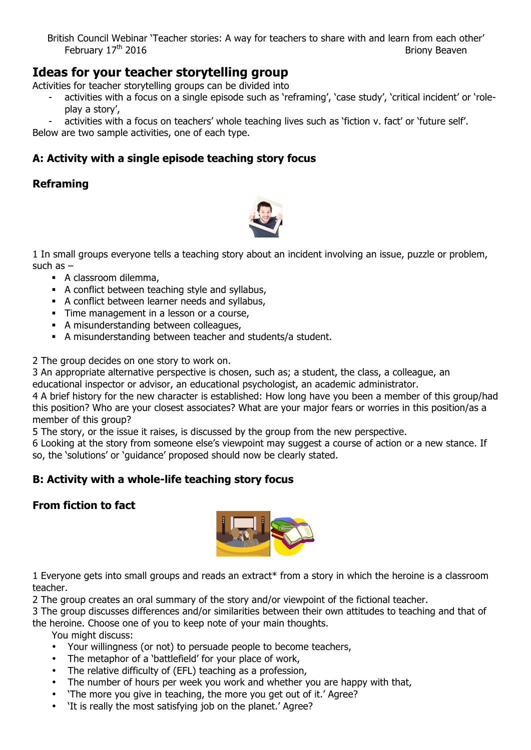British Council Webinar 'Teacher stories: A way for teachers to share with and learn from each other' February  $17<sup>th</sup>$  2016

# **Ideas for your teacher storytelling group**

Activities for teacher storytelling groups can be divided into

activities with a focus on a single episode such as 'reframing', 'case study', 'critical incident' or 'roleplay a story',

activities with a focus on teachers' whole teaching lives such as 'fiction v. fact' or 'future self'. Below are two sample activities, one of each type.

## **A: Activity with a single episode teaching story focus**

## **Reframing**



1 In small groups everyone tells a teaching story about an incident involving an issue, puzzle or problem, such as –

- § A classroom dilemma,
- § A conflict between teaching style and syllabus,
- § A conflict between learner needs and syllabus,
- Time management in a lesson or a course,
- § A misunderstanding between colleagues,
- § A misunderstanding between teacher and students/a student.

2 The group decides on one story to work on.

3 An appropriate alternative perspective is chosen, such as; a student, the class, a colleague, an educational inspector or advisor, an educational psychologist, an academic administrator.

4 A brief history for the new character is established: How long have you been a member of this group/had this position? Who are your closest associates? What are your major fears or worries in this position/as a member of this group?

5 The story, or the issue it raises, is discussed by the group from the new perspective.

6 Looking at the story from someone else's viewpoint may suggest a course of action or a new stance. If so, the 'solutions' or 'guidance' proposed should now be clearly stated.

## **B: Activity with a whole-life teaching story focus**

### **From fiction to fact**



1 Everyone gets into small groups and reads an extract\* from a story in which the heroine is a classroom teacher.

2 The group creates an oral summary of the story and/or viewpoint of the fictional teacher.

3 The group discusses differences and/or similarities between their own attitudes to teaching and that of the heroine. Choose one of you to keep note of your main thoughts.

You might discuss:

- Your willingness (or not) to persuade people to become teachers,
- The metaphor of a 'battlefield' for your place of work,
- The relative difficulty of (EFL) teaching as a profession,
- The number of hours per week you work and whether you are happy with that,
- 'The more you give in teaching, the more you get out of it.' Agree?
- 'It is really the most satisfying job on the planet.' Agree?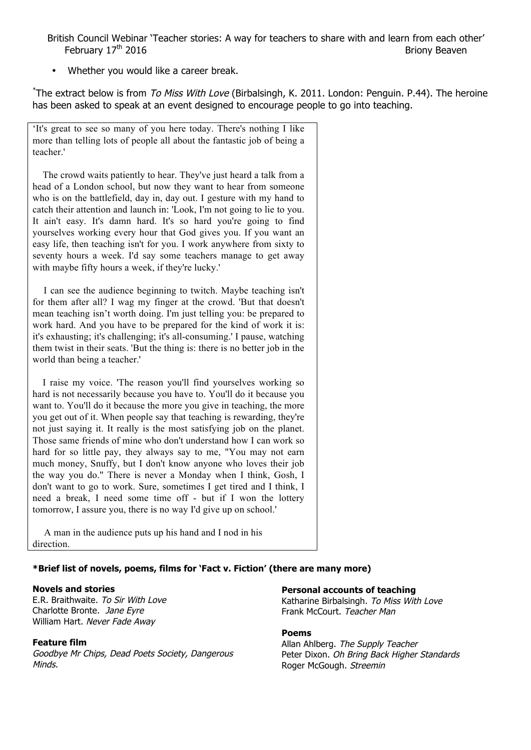British Council Webinar 'Teacher stories: A way for teachers to share with and learn from each other' February  $17<sup>th</sup>$  2016

Whether you would like a career break.

\*The extract below is from *To Miss With Love* (Birbalsingh, K. 2011. London: Penguin. P.44). The heroine has been asked to speak at an event designed to encourage people to go into teaching.

'It's great to see so many of you here today. There's nothing I like more than telling lots of people all about the fantastic job of being a teacher.'

The crowd waits patiently to hear. They've just heard a talk from a head of a London school, but now they want to hear from someone who is on the battlefield, day in, day out. I gesture with my hand to catch their attention and launch in: 'Look, I'm not going to lie to you. It ain't easy. It's damn hard. It's so hard you're going to find yourselves working every hour that God gives you. If you want an easy life, then teaching isn't for you. I work anywhere from sixty to seventy hours a week. I'd say some teachers manage to get away with maybe fifty hours a week, if they're lucky.'

I can see the audience beginning to twitch. Maybe teaching isn't for them after all? I wag my finger at the crowd. 'But that doesn't mean teaching isn't worth doing. I'm just telling you: be prepared to work hard. And you have to be prepared for the kind of work it is: it's exhausting; it's challenging; it's all-consuming.' I pause, watching them twist in their seats. 'But the thing is: there is no better job in the world than being a teacher.'

I raise my voice. 'The reason you'll find yourselves working so hard is not necessarily because you have to. You'll do it because you want to. You'll do it because the more you give in teaching, the more you get out of it. When people say that teaching is rewarding, they're not just saying it. It really is the most satisfying job on the planet. Those same friends of mine who don't understand how I can work so hard for so little pay, they always say to me, "You may not earn much money, Snuffy, but I don't know anyone who loves their job the way you do." There is never a Monday when I think, Gosh, I don't want to go to work. Sure, sometimes I get tired and I think, I need a break, I need some time off - but if I won the lottery tomorrow, I assure you, there is no way I'd give up on school.'

A man in the audience puts up his hand and I nod in his direction.

### **\*Brief list of novels, poems, films for 'Fact v. Fiction' (there are many more)**

### **Novels and stories**

E.R. Braithwaite. To Sir With Love Charlotte Bronte. Jane Eyre William Hart. Never Fade Away

#### **Feature film**

Goodbye Mr Chips, Dead Poets Society, Dangerous Minds.

#### **Personal accounts of teaching**

Katharine Birbalsingh. To Miss With Love Frank McCourt. Teacher Man

#### **Poems**

Allan Ahlberg. The Supply Teacher Peter Dixon. Oh Bring Back Higher Standards Roger McGough. Streemin